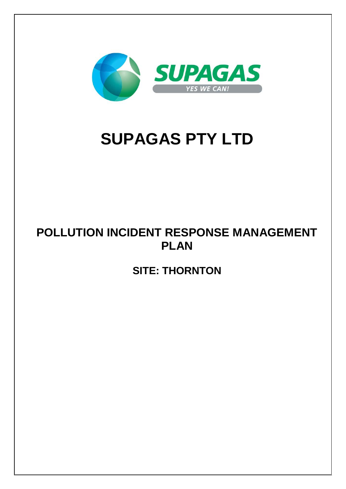

# **SUPAGAS PTY LTD**

## **POLLUTION INCIDENT RESPONSE MANAGEMENT PLAN**

**SITE: THORNTON**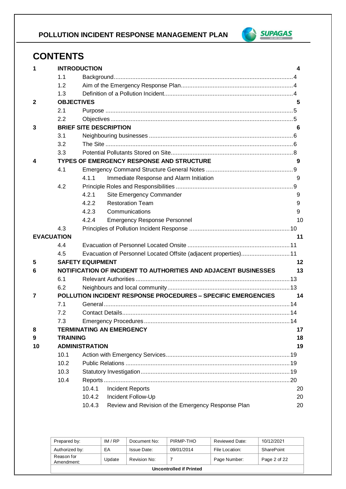

## **CONTENTS**

| 1                 |                   | <b>INTRODUCTION</b>                                                  | 4  |
|-------------------|-------------------|----------------------------------------------------------------------|----|
|                   | 1.1               |                                                                      |    |
|                   | 1.2               |                                                                      |    |
|                   | 1.3               |                                                                      |    |
| $\mathbf{2}$      | <b>OBJECTIVES</b> |                                                                      | 5  |
|                   | 2.1               |                                                                      |    |
|                   | 2.2               |                                                                      |    |
| 3                 |                   | <b>BRIEF SITE DESCRIPTION</b>                                        | 6  |
|                   | 3.1               |                                                                      |    |
|                   | 3.2               |                                                                      |    |
|                   | 3.3               |                                                                      |    |
| 4                 |                   | TYPES OF EMERGENCY RESPONSE AND STRUCTURE                            | 9  |
|                   | 4.1               |                                                                      |    |
|                   |                   | 4.1.1<br>Immediate Response and Alarm Initiation                     | 9  |
|                   | 4.2               |                                                                      |    |
|                   |                   | 4.2.1<br>Site Emergency Commander                                    | 9  |
|                   |                   | <b>Restoration Team</b><br>4.2.2                                     | 9  |
|                   |                   | 4.2.3<br>Communications                                              | 9  |
|                   |                   | 4.2.4<br><b>Emergency Response Personnel</b>                         | 10 |
|                   | 4.3               |                                                                      |    |
| <b>EVACUATION</b> |                   |                                                                      | 11 |
|                   | 4.4               |                                                                      |    |
|                   | 4.5               | Evacuation of Personnel Located Offsite (adjacent properties) 11     |    |
| 5                 |                   | <b>SAFETY EQUIPMENT</b>                                              | 12 |
| 6                 |                   | NOTIFICATION OF INCIDENT TO AUTHORITIES AND ADJACENT BUSINESSES      | 13 |
|                   | 6.1               |                                                                      |    |
|                   | 6.2               |                                                                      |    |
| 7                 |                   | <b>POLLUTION INCIDENT RESPONSE PROCEDURES - SPECIFIC EMERGENCIES</b> | 14 |
|                   | 7.1               |                                                                      |    |
|                   | 7.2               |                                                                      |    |
|                   | 7.3               |                                                                      |    |
| 8                 |                   | <b>TERMINATING AN EMERGENCY</b>                                      | 17 |
| 9                 | <b>TRAINING</b>   |                                                                      | 18 |
| 10                |                   | <b>ADMINISTRATION</b>                                                | 19 |
|                   | 10.1              |                                                                      |    |
|                   | 10.2              |                                                                      |    |
|                   | 10.3              |                                                                      |    |
|                   | 10.4              |                                                                      |    |
|                   |                   | <b>Incident Reports</b><br>10.4.1                                    | 20 |
|                   |                   | 10.4.2<br>Incident Follow-Up                                         | 20 |
|                   |                   | Review and Revision of the Emergency Response Plan<br>10.4.3         | 20 |

| Prepared by:             | IM/RP  | Document No: | PIRMP-THO  | Reviewed Date: | 10/12/2021   |  |
|--------------------------|--------|--------------|------------|----------------|--------------|--|
| Authorized by:           | EA     | Issue Date:  | 09/01/2014 | File Location: | SharePoint   |  |
| Reason for<br>Amendment: | Update | Revision No: |            | Page Number:   | Page 2 of 22 |  |
| Uncontrolled if Printed  |        |              |            |                |              |  |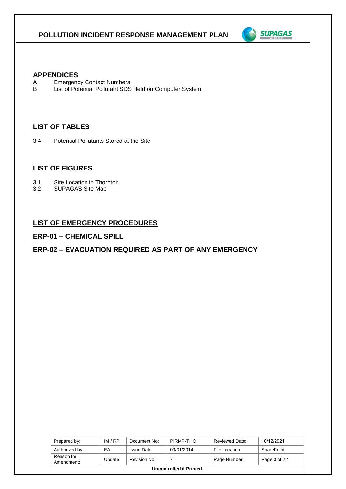

#### **APPENDICES**

- A Emergency Contact Numbers<br>B List of Potential Pollutant SDS
- List of Potential Pollutant SDS Held on Computer System

#### **LIST OF TABLES**

3.4 Potential Pollutants Stored at the Site

#### **LIST OF FIGURES**

- 3.1 Site Location in Thornton<br>3.2 SUPAGAS Site Map
- SUPAGAS Site Map

### **LIST OF EMERGENCY PROCEDURES**

#### **ERP-01 – CHEMICAL SPILL**

#### **ERP-02 – EVACUATION REQUIRED AS PART OF ANY EMERGENCY**

| Prepared by:                   | IM/RP  | Document No: | PIRMP-THO  | Reviewed Date: | 10/12/2021   |  |
|--------------------------------|--------|--------------|------------|----------------|--------------|--|
| Authorized by:                 | EA     | Issue Date:  | 09/01/2014 | File Location: | SharePoint   |  |
| Reason for<br>Amendment:       | Update | Revision No: |            | Page Number:   | Page 3 of 22 |  |
| <b>Uncontrolled if Printed</b> |        |              |            |                |              |  |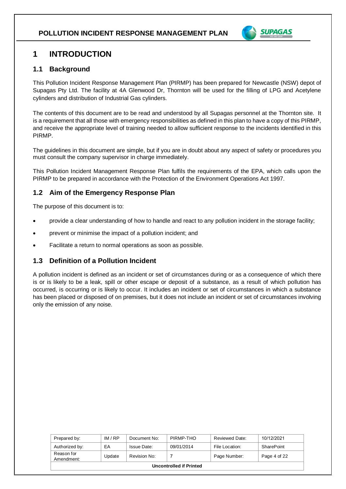

## **1 INTRODUCTION**

#### **1.1 Background**

This Pollution Incident Response Management Plan (PIRMP) has been prepared for Newcastle (NSW) depot of Supagas Pty Ltd. The facility at 4A Glenwood Dr, Thornton will be used for the filling of LPG and Acetylene cylinders and distribution of Industrial Gas cylinders.

The contents of this document are to be read and understood by all Supagas personnel at the Thornton site. It is a requirement that all those with emergency responsibilities as defined in this plan to have a copy of this PIRMP, and receive the appropriate level of training needed to allow sufficient response to the incidents identified in this PIRMP.

The guidelines in this document are simple, but if you are in doubt about any aspect of safety or procedures you must consult the company supervisor in charge immediately.

This Pollution Incident Management Response Plan fulfils the requirements of the EPA, which calls upon the PIRMP to be prepared in accordance with the Protection of the Environment Operations Act 1997.

### **1.2 Aim of the Emergency Response Plan**

The purpose of this document is to:

- provide a clear understanding of how to handle and react to any pollution incident in the storage facility;
- prevent or minimise the impact of a pollution incident; and
- Facilitate a return to normal operations as soon as possible.

#### **1.3 Definition of a Pollution Incident**

A pollution incident is defined as an incident or set of circumstances during or as a consequence of which there is or is likely to be a leak, spill or other escape or deposit of a substance, as a result of which pollution has occurred, is occurring or is likely to occur. It includes an incident or set of circumstances in which a substance has been placed or disposed of on premises, but it does not include an incident or set of circumstances involving only the emission of any noise.

| Prepared by:             | IM/RP  | Document No: | PIRMP-THO  | Reviewed Date: | 10/12/2021   |  |
|--------------------------|--------|--------------|------------|----------------|--------------|--|
| Authorized by:           | ЕA     | Issue Date:  | 09/01/2014 | File Location: | SharePoint   |  |
| Reason for<br>Amendment: | Update | Revision No: |            | Page Number:   | Page 4 of 22 |  |
| Uncontrolled if Printed  |        |              |            |                |              |  |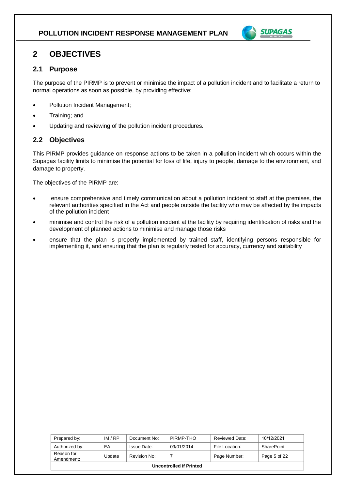

## **2 OBJECTIVES**

#### **2.1 Purpose**

The purpose of the PIRMP is to prevent or minimise the impact of a pollution incident and to facilitate a return to normal operations as soon as possible, by providing effective:

- Pollution Incident Management;
- Training; and
- Updating and reviewing of the pollution incident procedures.

#### **2.2 Objectives**

This PIRMP provides guidance on response actions to be taken in a pollution incident which occurs within the Supagas facility limits to minimise the potential for loss of life, injury to people, damage to the environment, and damage to property.

The objectives of the PIRMP are:

- ensure comprehensive and timely communication about a pollution incident to staff at the premises, the relevant authorities specified in the Act and people outside the facility who may be affected by the impacts of the pollution incident
- minimise and control the risk of a pollution incident at the facility by requiring identification of risks and the development of planned actions to minimise and manage those risks
- ensure that the plan is properly implemented by trained staff, identifying persons responsible for implementing it, and ensuring that the plan is regularly tested for accuracy, currency and suitability

| Prepared by:             | IM/RP  | Document No: | PIRMP-THO  | Reviewed Date: | 10/12/2021   |  |
|--------------------------|--------|--------------|------------|----------------|--------------|--|
| Authorized by:           | EA     | Issue Date:  | 09/01/2014 | File Location: | SharePoint   |  |
| Reason for<br>Amendment: | Update | Revision No: |            | Page Number:   | Page 5 of 22 |  |
| Uncontrolled if Printed  |        |              |            |                |              |  |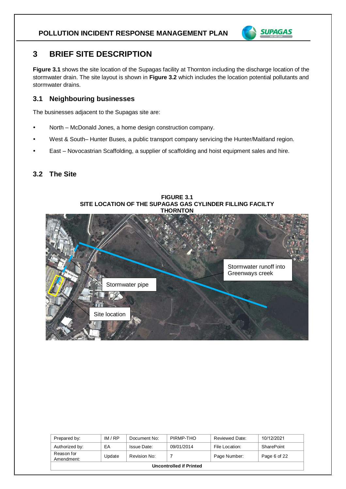

## **3 BRIEF SITE DESCRIPTION**

**Figure 3.1** shows the site location of the Supagas facility at Thornton including the discharge location of the stormwater drain. The site layout is shown in **Figure 3.2** which includes the location potential pollutants and stormwater drains.

#### **3.1 Neighbouring businesses**

The businesses adjacent to the Supagas site are:

- North McDonald Jones, a home design construction company.
- West & South– Hunter Buses, a public transport company servicing the Hunter/Maitland region.
- East Novocastrian Scaffolding, a supplier of scaffolding and hoist equipment sales and hire.

#### **3.2 The Site**



| Prepared by:                   | IM/RP  | Document No: | PIRMP-THO  | Reviewed Date: | 10/12/2021   |  |
|--------------------------------|--------|--------------|------------|----------------|--------------|--|
| Authorized by:                 | EA     | Issue Date:  | 09/01/2014 | File Location: | SharePoint   |  |
| Reason for<br>Amendment:       | Update | Revision No: |            | Page Number:   | Page 6 of 22 |  |
| <b>Uncontrolled if Printed</b> |        |              |            |                |              |  |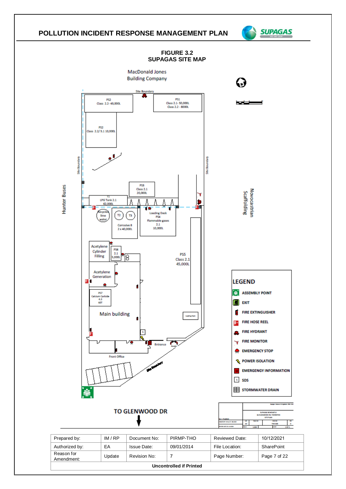

**Uncontrolled if Printed**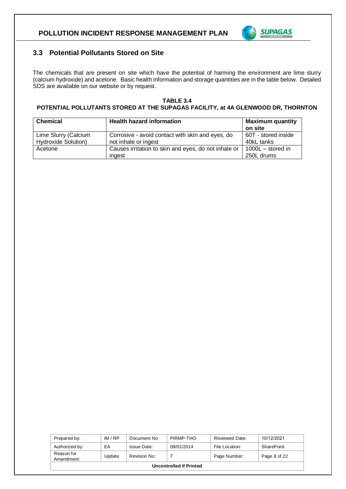

#### **3.3 Potential Pollutants Stored on Site**

The chemicals that are present on site which have the potential of harming the environment are lime slurry (calcium hydroxide) and acetone. Basic health information and storage quantities are in the table below. Detailed SDS are available on our website or by request.

#### **TABLE 3.4 POTENTIAL POLLUTANTS STORED AT THE SUPAGAS FACILITY, at 4A GLENWOOD DR, THORNTON**

| <b>Chemical</b>                                    | <b>Health hazard information</b>                                         | <b>Maximum quantity</b><br>on site |
|----------------------------------------------------|--------------------------------------------------------------------------|------------------------------------|
| Lime Slurry (Calcium<br><b>Hydroxide Solution)</b> | Corrosive - avoid contact with skin and eyes, do<br>not inhale or ingest | 60T - stored inside<br>40kL tanks  |
| Acetone                                            | Causes irritation to skin and eyes, do not inhale or<br>ingest           | 1000L - stored in<br>250L drums    |

| Prepared by:             | IM/RP  | Document No: | PIRMP-THO  | Reviewed Date: | 10/12/2021   |  |
|--------------------------|--------|--------------|------------|----------------|--------------|--|
| Authorized by:           | EA     | Issue Date:  | 09/01/2014 | File Location: | SharePoint   |  |
| Reason for<br>Amendment: | Update | Revision No: |            | Page Number:   | Page 8 of 22 |  |
| Uncontrolled if Printed  |        |              |            |                |              |  |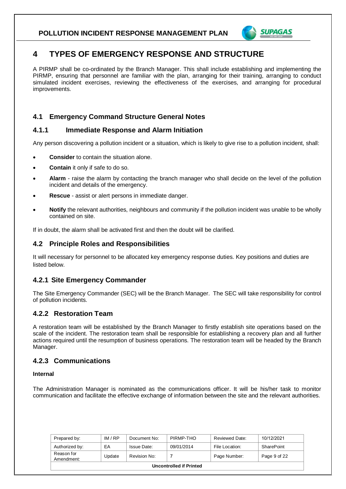

## **4 TYPES OF EMERGENCY RESPONSE AND STRUCTURE**

A PIRMP shall be co-ordinated by the Branch Manager. This shall include establishing and implementing the PIRMP, ensuring that personnel are familiar with the plan, arranging for their training, arranging to conduct simulated incident exercises, reviewing the effectiveness of the exercises, and arranging for procedural improvements.

### **4.1 Emergency Command Structure General Notes**

#### **4.1.1 Immediate Response and Alarm Initiation**

Any person discovering a pollution incident or a situation, which is likely to give rise to a pollution incident, shall:

- **Consider** to contain the situation alone.
- **Contain** it only if safe to do so.
- **Alarm** raise the alarm by contacting the branch manager who shall decide on the level of the pollution incident and details of the emergency.
- **Rescue**  assist or alert persons in immediate danger.
- **Notify** the relevant authorities, neighbours and community if the pollution incident was unable to be wholly contained on site.

If in doubt, the alarm shall be activated first and then the doubt will be clarified.

#### **4.2 Principle Roles and Responsibilities**

It will necessary for personnel to be allocated key emergency response duties. Key positions and duties are listed below.

#### **4.2.1 Site Emergency Commander**

The Site Emergency Commander (SEC) will be the Branch Manager. The SEC will take responsibility for control of pollution incidents.

#### **4.2.2 Restoration Team**

A restoration team will be established by the Branch Manager to firstly establish site operations based on the scale of the incident. The restoration team shall be responsible for establishing a recovery plan and all further actions required until the resumption of business operations. The restoration team will be headed by the Branch Manager.

#### **4.2.3 Communications**

#### **Internal**

The Administration Manager is nominated as the communications officer. It will be his/her task to monitor communication and facilitate the effective exchange of information between the site and the relevant authorities.

| Prepared by:                   | IM/RP  | Document No: | PIRMP-THO  | Reviewed Date: | 10/12/2021   |  |
|--------------------------------|--------|--------------|------------|----------------|--------------|--|
| Authorized by:                 | EA     | Issue Date:  | 09/01/2014 | File Location: | SharePoint   |  |
| Reason for<br>Amendment:       | Update | Revision No: |            | Page Number:   | Page 9 of 22 |  |
| <b>Uncontrolled if Printed</b> |        |              |            |                |              |  |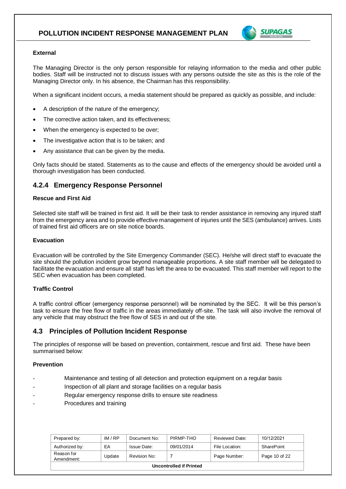

#### **External**

The Managing Director is the only person responsible for relaying information to the media and other public bodies. Staff will be instructed not to discuss issues with any persons outside the site as this is the role of the Managing Director only. In his absence, the Chairman has this responsibility.

When a significant incident occurs, a media statement should be prepared as quickly as possible, and include:

- A description of the nature of the emergency;
- The corrective action taken, and its effectiveness;
- When the emergency is expected to be over;
- The investigative action that is to be taken; and
- Any assistance that can be given by the media.

Only facts should be stated. Statements as to the cause and effects of the emergency should be avoided until a thorough investigation has been conducted.

#### **4.2.4 Emergency Response Personnel**

#### **Rescue and First Aid**

Selected site staff will be trained in first aid. It will be their task to render assistance in removing any injured staff from the emergency area and to provide effective management of injuries until the SES (ambulance) arrives. Lists of trained first aid officers are on site notice boards.

#### **Evacuation**

Evacuation will be controlled by the Site Emergency Commander (SEC). He/she will direct staff to evacuate the site should the pollution incident grow beyond manageable proportions. A site staff member will be delegated to facilitate the evacuation and ensure all staff has left the area to be evacuated. This staff member will report to the SEC when evacuation has been completed.

#### **Traffic Control**

A traffic control officer (emergency response personnel) will be nominated by the SEC. It will be this person's task to ensure the free flow of traffic in the areas immediately off-site. The task will also involve the removal of any vehicle that may obstruct the free flow of SES in and out of the site.

#### **4.3 Principles of Pollution Incident Response**

The principles of response will be based on prevention, containment, rescue and first aid. These have been summarised below:

#### **Prevention**

- Maintenance and testing of all detection and protection equipment on a regular basis
- Inspection of all plant and storage facilities on a regular basis
- Regular emergency response drills to ensure site readiness
- Procedures and training

| Prepared by:             | IM/RP  | Document No: | PIRMP-THO  | Reviewed Date: | 10/12/2021    |  |
|--------------------------|--------|--------------|------------|----------------|---------------|--|
| Authorized by:           | EA     | Issue Date:  | 09/01/2014 | File Location: | SharePoint    |  |
| Reason for<br>Amendment: | Update | Revision No: |            | Page Number:   | Page 10 of 22 |  |
| Uncontrolled if Printed  |        |              |            |                |               |  |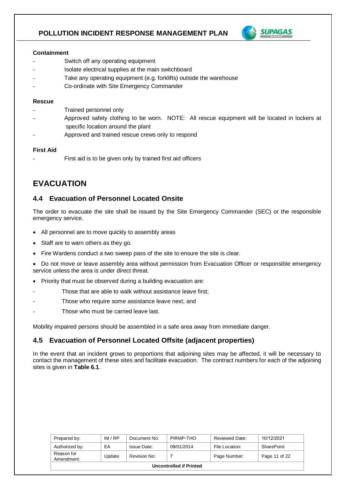

#### **Containment**

- Switch off any operating equipment
- Isolate electrical supplies at the main switchboard
- Take any operating equipment (e.g. forklifts) outside the warehouse
- Co-ordinate with Site Emergency Commander

#### **Rescue**

- Trained personnel only
- Approved safety clothing to be worn. NOTE: All rescue equipment will be located in lockers at specific location around the plant
- Approved and trained rescue crews only to respond

#### **First Aid**

First aid is to be given only by trained first aid officers

## **EVACUATION**

#### **4.4 Evacuation of Personnel Located Onsite**

The order to evacuate the site shall be issued by the Site Emergency Commander (SEC) or the responsible emergency service.

- All personnel are to move quickly to assembly areas
- Staff are to warn others as they go.
- Fire Wardens conduct a two sweep pass of the site to ensure the site is clear.

• Do not move or leave assembly area without permission from Evacuation Officer or responsible emergency service unless the area is under direct threat.

- Priority that must be observed during a building evacuation are:
- Those that are able to walk without assistance leave first;
- Those who require some assistance leave next; and
- Those who must be carried leave last.

Mobility impaired persons should be assembled in a safe area away from immediate danger.

#### **4.5 Evacuation of Personnel Located Offsite (adjacent properties)**

In the event that an incident grows to proportions that adjoining sites may be affected, it will be necessary to contact the management of these sites and facilitate evacuation. The contract numbers for each of the adjoining sites is given in **Table 6.1**.

| Prepared by:             | IM/RP  | Document No: | PIRMP-THO  | Reviewed Date: | 10/12/2021    |  |
|--------------------------|--------|--------------|------------|----------------|---------------|--|
| Authorized by:           | EA     | Issue Date:  | 09/01/2014 | File Location: | SharePoint    |  |
| Reason for<br>Amendment: | Update | Revision No: |            | Page Number:   | Page 11 of 22 |  |
| Uncontrolled if Printed  |        |              |            |                |               |  |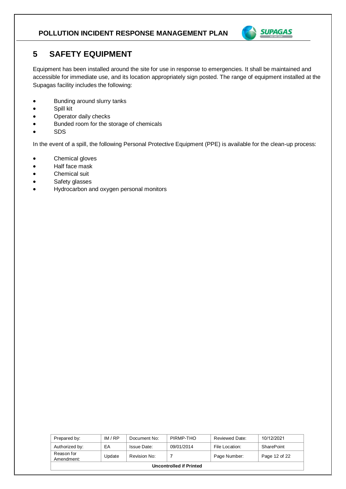

## **5 SAFETY EQUIPMENT**

Equipment has been installed around the site for use in response to emergencies. It shall be maintained and accessible for immediate use, and its location appropriately sign posted. The range of equipment installed at the Supagas facility includes the following:

- Bunding around slurry tanks
- Spill kit
- Operator daily checks
- Bunded room for the storage of chemicals
- SDS

In the event of a spill, the following Personal Protective Equipment (PPE) is available for the clean-up process:

- Chemical gloves
- Half face mask
- Chemical suit
- Safety glasses
- Hydrocarbon and oxygen personal monitors

| Prepared by:             | IM/RP  | Document No: | PIRMP-THO  | Reviewed Date: | 10/12/2021    |  |
|--------------------------|--------|--------------|------------|----------------|---------------|--|
| Authorized by:           | EA     | Issue Date:  | 09/01/2014 | File Location: | SharePoint    |  |
| Reason for<br>Amendment: | Update | Revision No: |            | Page Number:   | Page 12 of 22 |  |
| Uncontrolled if Printed  |        |              |            |                |               |  |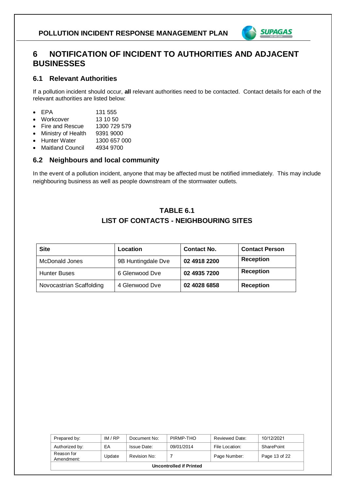

## **6 NOTIFICATION OF INCIDENT TO AUTHORITIES AND ADJACENT BUSINESSES**

#### **6.1 Relevant Authorities**

If a pollution incident should occur, **all** relevant authorities need to be contacted. Contact details for each of the relevant authorities are listed below:

- EPA 131 555
- Workcover 13 10 50
- Fire and Rescue 1300 729 579
- Ministry of Health 9391 9000
- Hunter Water 1300 657 000
- Maitland Council 4934 9700

#### **6.2 Neighbours and local community**

In the event of a pollution incident, anyone that may be affected must be notified immediately. This may include neighbouring business as well as people downstream of the stormwater outlets.

## **TABLE 6.1 LIST OF CONTACTS - NEIGHBOURING SITES**

| <b>Site</b>              | Location           | <b>Contact No.</b> | <b>Contact Person</b> |
|--------------------------|--------------------|--------------------|-----------------------|
| McDonald Jones           | 9B Huntingdale Dve | 02 4918 2200       | <b>Reception</b>      |
| <b>Hunter Buses</b>      | 6 Glenwood Dve     | 02 4935 7200       | <b>Reception</b>      |
| Novocastrian Scaffolding | 4 Glenwood Dve     | 02 4028 6858       | <b>Reception</b>      |

| Prepared by:             | IM/RP  | Document No: | PIRMP-THO  | Reviewed Date: | 10/12/2021    |
|--------------------------|--------|--------------|------------|----------------|---------------|
| Authorized by:           | EA     | Issue Date:  | 09/01/2014 | File Location: | SharePoint    |
| Reason for<br>Amendment: | Update | Revision No: |            | Page Number:   | Page 13 of 22 |
| Uncontrolled if Printed  |        |              |            |                |               |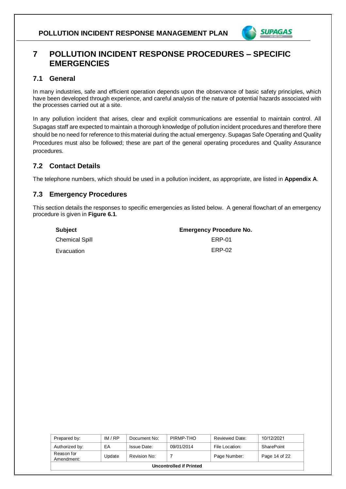

## **7 POLLUTION INCIDENT RESPONSE PROCEDURES – SPECIFIC EMERGENCIES**

#### **7.1 General**

In many industries, safe and efficient operation depends upon the observance of basic safety principles, which have been developed through experience, and careful analysis of the nature of potential hazards associated with the processes carried out at a site.

In any pollution incident that arises, clear and explicit communications are essential to maintain control. All Supagas staff are expected to maintain a thorough knowledge of pollution incident procedures and therefore there should be no need for reference to this material during the actual emergency. Supagas Safe Operating and Quality Procedures must also be followed; these are part of the general operating procedures and Quality Assurance procedures.

## **7.2 Contact Details**

The telephone numbers, which should be used in a pollution incident, as appropriate, are listed in **Appendix A**.

#### **7.3 Emergency Procedures**

This section details the responses to specific emergencies as listed below. A general flowchart of an emergency procedure is given in **Figure 6.1**.

| Subject               | <b>Emergency Procedure No.</b> |
|-----------------------|--------------------------------|
| <b>Chemical Spill</b> | FRP-01                         |
| Evacuation            | ERP-02                         |

| Prepared by:             | IM/RP  | Document No: | PIRMP-THO  | Reviewed Date: | 10/12/2021    |
|--------------------------|--------|--------------|------------|----------------|---------------|
| Authorized by:           | EA     | Issue Date:  | 09/01/2014 | File Location: | SharePoint    |
| Reason for<br>Amendment: | Update | Revision No: |            | Page Number:   | Page 14 of 22 |
| Uncontrolled if Printed  |        |              |            |                |               |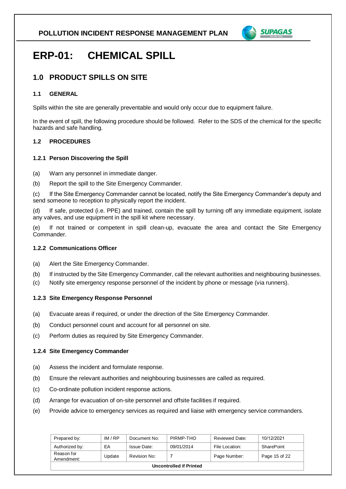

## **ERP-01: CHEMICAL SPILL**

## **1.0 PRODUCT SPILLS ON SITE**

#### **1.1 GENERAL**

Spills within the site are generally preventable and would only occur due to equipment failure.

In the event of spill, the following procedure should be followed. Refer to the SDS of the chemical for the specific hazards and safe handling.

#### **1.2 PROCEDURES**

#### **1.2.1 Person Discovering the Spill**

- (a) Warn any personnel in immediate danger.
- (b) Report the spill to the Site Emergency Commander.

(c) If the Site Emergency Commander cannot be located, notify the Site Emergency Commander's deputy and send someone to reception to physically report the incident.

(d) If safe, protected (i.e. PPE) and trained, contain the spill by turning off any immediate equipment, isolate any valves, and use equipment in the spill kit where necessary.

(e) If not trained or competent in spill clean-up, evacuate the area and contact the Site Emergency Commander.

#### **1.2.2 Communications Officer**

- (a) Alert the Site Emergency Commander.
- (b) If instructed by the Site Emergency Commander, call the relevant authorities and neighbouring businesses.
- (c) Notify site emergency response personnel of the incident by phone or message (via runners).

#### **1.2.3 Site Emergency Response Personnel**

- (a) Evacuate areas if required, or under the direction of the Site Emergency Commander.
- (b) Conduct personnel count and account for all personnel on site.
- (c) Perform duties as required by Site Emergency Commander.

#### **1.2.4 Site Emergency Commander**

- (a) Assess the incident and formulate response.
- (b) Ensure the relevant authorities and neighbouring businesses are called as required.
- (c) Co-ordinate pollution incident response actions.
- (d) Arrange for evacuation of on-site personnel and offsite facilities if required.
- (e) Provide advice to emergency services as required and liaise with emergency service commanders.

| Prepared by:                   | IM/RP  | Document No: | PIRMP-THO  | Reviewed Date: | 10/12/2021    |
|--------------------------------|--------|--------------|------------|----------------|---------------|
| Authorized by:                 | EA     | Issue Date:  | 09/01/2014 | File Location: | SharePoint    |
| Reason for<br>Amendment:       | Update | Revision No: |            | Page Number:   | Page 15 of 22 |
| <b>Uncontrolled if Printed</b> |        |              |            |                |               |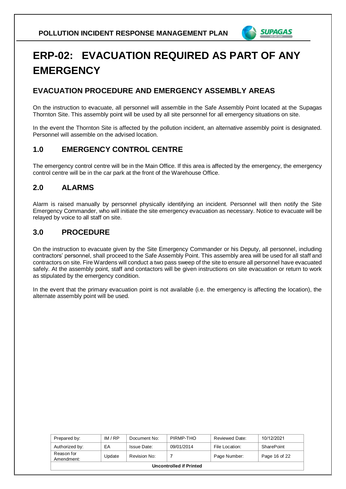

## **ERP-02: EVACUATION REQUIRED AS PART OF ANY EMERGENCY**

## **EVACUATION PROCEDURE AND EMERGENCY ASSEMBLY AREAS**

On the instruction to evacuate, all personnel will assemble in the Safe Assembly Point located at the Supagas Thornton Site. This assembly point will be used by all site personnel for all emergency situations on site.

In the event the Thornton Site is affected by the pollution incident, an alternative assembly point is designated. Personnel will assemble on the advised location.

## **1.0 EMERGENCY CONTROL CENTRE**

The emergency control centre will be in the Main Office. If this area is affected by the emergency, the emergency control centre will be in the car park at the front of the Warehouse Office.

## **2.0 ALARMS**

Alarm is raised manually by personnel physically identifying an incident. Personnel will then notify the Site Emergency Commander, who will initiate the site emergency evacuation as necessary. Notice to evacuate will be relayed by voice to all staff on site.

## **3.0 PROCEDURE**

On the instruction to evacuate given by the Site Emergency Commander or his Deputy, all personnel, including contractors' personnel, shall proceed to the Safe Assembly Point. This assembly area will be used for all staff and contractors on site. Fire Wardens will conduct a two pass sweep of the site to ensure all personnel have evacuated safely. At the assembly point, staff and contactors will be given instructions on site evacuation or return to work as stipulated by the emergency condition.

In the event that the primary evacuation point is not available (i.e. the emergency is affecting the location), the alternate assembly point will be used.

| Prepared by:                   | IM/RP  | Document No: | PIRMP-THO  | Reviewed Date: | 10/12/2021    |
|--------------------------------|--------|--------------|------------|----------------|---------------|
| Authorized by:                 | EA     | Issue Date:  | 09/01/2014 | File Location: | SharePoint    |
| Reason for<br>Amendment:       | Update | Revision No: |            | Page Number:   | Page 16 of 22 |
| <b>Uncontrolled if Printed</b> |        |              |            |                |               |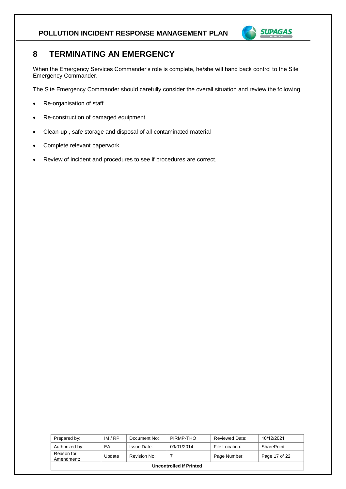

## **8 TERMINATING AN EMERGENCY**

When the Emergency Services Commander's role is complete, he/she will hand back control to the Site Emergency Commander.

The Site Emergency Commander should carefully consider the overall situation and review the following

- Re-organisation of staff
- Re-construction of damaged equipment
- Clean-up , safe storage and disposal of all contaminated material
- Complete relevant paperwork
- Review of incident and procedures to see if procedures are correct.

| Prepared by:             | IM/RP  | Document No: | PIRMP-THO  | Reviewed Date: | 10/12/2021    |
|--------------------------|--------|--------------|------------|----------------|---------------|
| Authorized by:           | EA     | Issue Date:  | 09/01/2014 | File Location: | SharePoint    |
| Reason for<br>Amendment: | Update | Revision No: |            | Page Number:   | Page 17 of 22 |
| Uncontrolled if Printed  |        |              |            |                |               |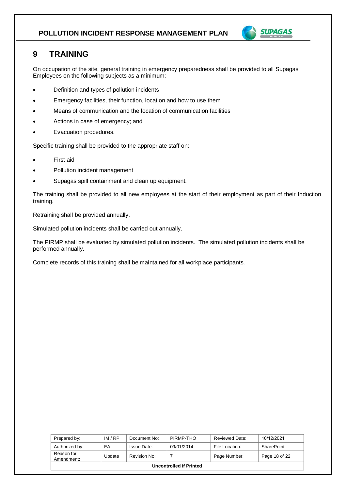

## **9 TRAINING**

On occupation of the site, general training in emergency preparedness shall be provided to all Supagas Employees on the following subjects as a minimum:

- Definition and types of pollution incidents
- Emergency facilities, their function, location and how to use them
- Means of communication and the location of communication facilities
- Actions in case of emergency; and
- Evacuation procedures.

Specific training shall be provided to the appropriate staff on:

- First aid
- Pollution incident management
- Supagas spill containment and clean up equipment.

The training shall be provided to all new employees at the start of their employment as part of their Induction training.

Retraining shall be provided annually.

Simulated pollution incidents shall be carried out annually.

The PIRMP shall be evaluated by simulated pollution incidents. The simulated pollution incidents shall be performed annually.

Complete records of this training shall be maintained for all workplace participants.

| Prepared by:                   | IM/RP  | Document No: | PIRMP-THO  | Reviewed Date: | 10/12/2021    |
|--------------------------------|--------|--------------|------------|----------------|---------------|
| Authorized by:                 | EA     | Issue Date:  | 09/01/2014 | File Location: | SharePoint    |
| Reason for<br>Amendment:       | Update | Revision No: |            | Page Number:   | Page 18 of 22 |
| <b>Uncontrolled if Printed</b> |        |              |            |                |               |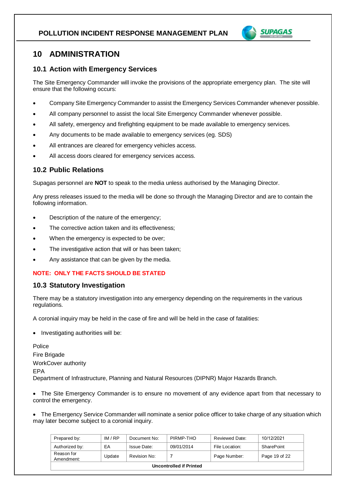

## **10 ADMINISTRATION**

#### **10.1 Action with Emergency Services**

The Site Emergency Commander will invoke the provisions of the appropriate emergency plan. The site will ensure that the following occurs:

- Company Site Emergency Commander to assist the Emergency Services Commander whenever possible.
- All company personnel to assist the local Site Emergency Commander whenever possible.
- All safety, emergency and firefighting equipment to be made available to emergency services.
- Any documents to be made available to emergency services (eg. SDS)
- All entrances are cleared for emergency vehicles access.
- All access doors cleared for emergency services access.

#### **10.2 Public Relations**

Supagas personnel are **NOT** to speak to the media unless authorised by the Managing Director.

Any press releases issued to the media will be done so through the Managing Director and are to contain the following information.

- Description of the nature of the emergency;
- The corrective action taken and its effectiveness;
- When the emergency is expected to be over;
- The investigative action that will or has been taken;
- Any assistance that can be given by the media.

#### **NOTE: ONLY THE FACTS SHOULD BE STATED**

#### **10.3 Statutory Investigation**

There may be a statutory investigation into any emergency depending on the requirements in the various regulations.

A coronial inquiry may be held in the case of fire and will be held in the case of fatalities:

• Investigating authorities will be:

Police Fire Brigade WorkCover authority EPA Department of Infrastructure, Planning and Natural Resources (DIPNR) Major Hazards Branch.

• The Site Emergency Commander is to ensure no movement of any evidence apart from that necessary to control the emergency.

• The Emergency Service Commander will nominate a senior police officer to take charge of any situation which may later become subject to a coronial inquiry.

| Prepared by:             | IM/RP  | Document No: | PIRMP-THO  | Reviewed Date: | 10/12/2021    |
|--------------------------|--------|--------------|------------|----------------|---------------|
| Authorized by:           | ЕA     | Issue Date:  | 09/01/2014 | File Location: | SharePoint    |
| Reason for<br>Amendment: | Update | Revision No: |            | Page Number:   | Page 19 of 22 |
| Uncontrolled if Printed  |        |              |            |                |               |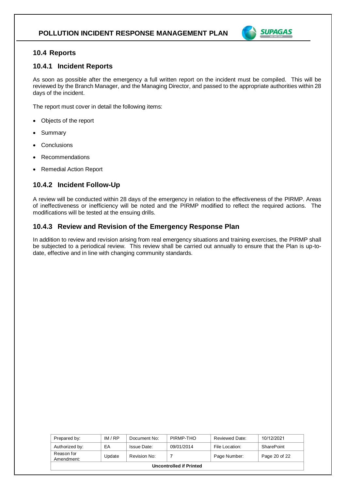

#### **10.4 Reports**

#### **10.4.1 Incident Reports**

As soon as possible after the emergency a full written report on the incident must be compiled. This will be reviewed by the Branch Manager, and the Managing Director, and passed to the appropriate authorities within 28 days of the incident.

The report must cover in detail the following items:

- Objects of the report
- **Summary**
- **Conclusions**
- **Recommendations**
- Remedial Action Report

#### **10.4.2 Incident Follow-Up**

A review will be conducted within 28 days of the emergency in relation to the effectiveness of the PIRMP. Areas of ineffectiveness or inefficiency will be noted and the PIRMP modified to reflect the required actions. The modifications will be tested at the ensuing drills.

#### **10.4.3 Review and Revision of the Emergency Response Plan**

In addition to review and revision arising from real emergency situations and training exercises, the PIRMP shall be subjected to a periodical review. This review shall be carried out annually to ensure that the Plan is up-todate, effective and in line with changing community standards.

| Prepared by:                   | IM/RP  | Document No: | PIRMP-THO  | Reviewed Date: | 10/12/2021    |
|--------------------------------|--------|--------------|------------|----------------|---------------|
| Authorized by:                 | EA     | Issue Date:  | 09/01/2014 | File Location: | SharePoint    |
| Reason for<br>Amendment:       | Update | Revision No: |            | Page Number:   | Page 20 of 22 |
| <b>Uncontrolled if Printed</b> |        |              |            |                |               |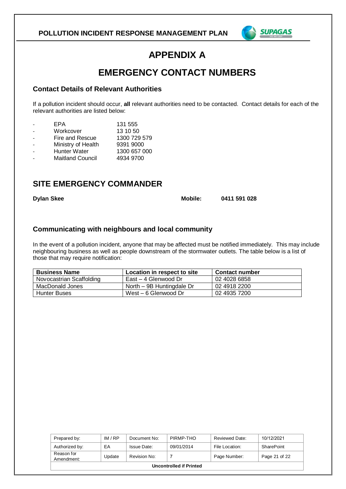

## **APPENDIX A**

## **EMERGENCY CONTACT NUMBERS**

#### **Contact Details of Relevant Authorities**

If a pollution incident should occur, **all** relevant authorities need to be contacted. Contact details for each of the relevant authorities are listed below:

| EPA                     | 131 555      |
|-------------------------|--------------|
| Workcover               | 13 10 50     |
| Fire and Rescue         | 1300 729 579 |
| Ministry of Health      | 9391 9000    |
| <b>Hunter Water</b>     | 1300 657 000 |
| <b>Maitland Council</b> | 4934 9700    |
|                         |              |

## **SITE EMERGENCY COMMANDER**

**Dylan Skee Mobile: 0411 591 028**

#### **Communicating with neighbours and local community**

In the event of a pollution incident, anyone that may be affected must be notified immediately. This may include neighbouring business as well as people downstream of the stormwater outlets. The table below is a list of those that may require notification:

| <b>Business Name</b>     | Location in respect to site | Contact number |
|--------------------------|-----------------------------|----------------|
| Novocastrian Scaffolding | East – 4 Glenwood Dr        | 02 4028 6858   |
| MacDonald Jones          | North – 9B Huntingdale Dr   | 02 4918 2200   |
| Hunter Buses             | West – 6 Glenwood Dr        | 02 4935 7200   |

| Prepared by:                   | IM/RP  | Document No: | PIRMP-THO  | Reviewed Date: | 10/12/2021    |  |  |  |
|--------------------------------|--------|--------------|------------|----------------|---------------|--|--|--|
| Authorized by:                 | EA     | Issue Date:  | 09/01/2014 | File Location: | SharePoint    |  |  |  |
| Reason for<br>Amendment:       | Update | Revision No: |            | Page Number:   | Page 21 of 22 |  |  |  |
| <b>Uncontrolled if Printed</b> |        |              |            |                |               |  |  |  |